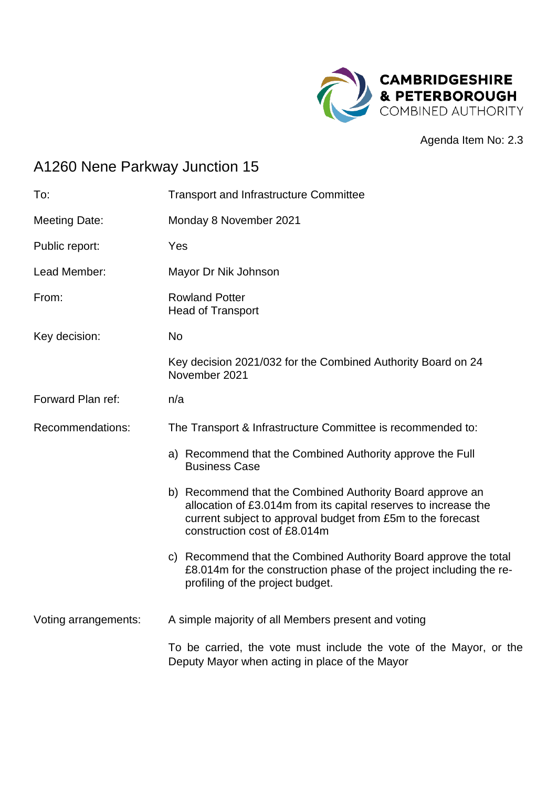

Agenda Item No: 2.3

# A1260 Nene Parkway Junction 15

| To:                  | <b>Transport and Infrastructure Committee</b>                                                                                                                                                                               |  |
|----------------------|-----------------------------------------------------------------------------------------------------------------------------------------------------------------------------------------------------------------------------|--|
| <b>Meeting Date:</b> | Monday 8 November 2021                                                                                                                                                                                                      |  |
| Public report:       | Yes                                                                                                                                                                                                                         |  |
| Lead Member:         | Mayor Dr Nik Johnson                                                                                                                                                                                                        |  |
| From:                | <b>Rowland Potter</b><br><b>Head of Transport</b>                                                                                                                                                                           |  |
| Key decision:        | <b>No</b>                                                                                                                                                                                                                   |  |
|                      | Key decision 2021/032 for the Combined Authority Board on 24<br>November 2021                                                                                                                                               |  |
| Forward Plan ref:    | n/a                                                                                                                                                                                                                         |  |
| Recommendations:     | The Transport & Infrastructure Committee is recommended to:                                                                                                                                                                 |  |
|                      | a) Recommend that the Combined Authority approve the Full<br><b>Business Case</b>                                                                                                                                           |  |
|                      | b) Recommend that the Combined Authority Board approve an<br>allocation of £3.014m from its capital reserves to increase the<br>current subject to approval budget from £5m to the forecast<br>construction cost of £8.014m |  |
|                      | c) Recommend that the Combined Authority Board approve the total<br>£8.014m for the construction phase of the project including the re-<br>profiling of the project budget.                                                 |  |
| Voting arrangements: | A simple majority of all Members present and voting                                                                                                                                                                         |  |
|                      | To be carried, the vote must include the vote of the Mayor, or the<br>Deputy Mayor when acting in place of the Mayor                                                                                                        |  |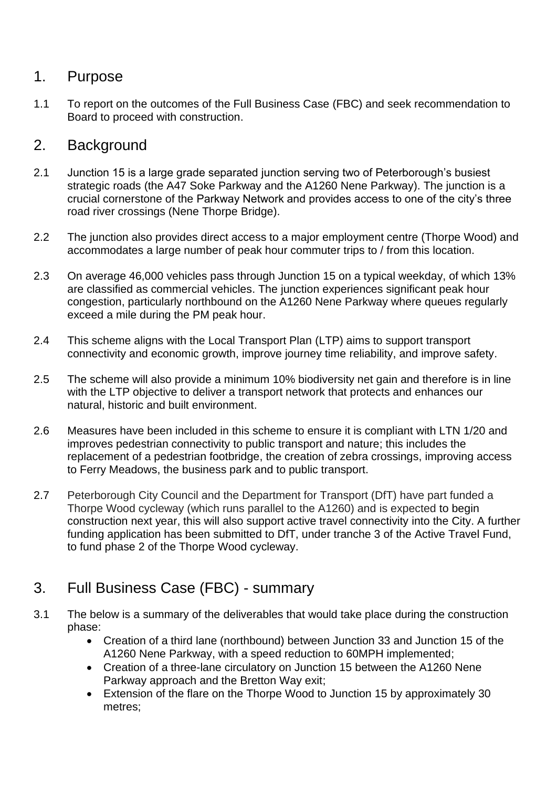#### 1. Purpose

1.1 To report on the outcomes of the Full Business Case (FBC) and seek recommendation to Board to proceed with construction.

## 2. Background

- 2.1 Junction 15 is a large grade separated junction serving two of Peterborough's busiest strategic roads (the A47 Soke Parkway and the A1260 Nene Parkway). The junction is a crucial cornerstone of the Parkway Network and provides access to one of the city's three road river crossings (Nene Thorpe Bridge).
- 2.2 The junction also provides direct access to a major employment centre (Thorpe Wood) and accommodates a large number of peak hour commuter trips to / from this location.
- 2.3 On average 46,000 vehicles pass through Junction 15 on a typical weekday, of which 13% are classified as commercial vehicles. The junction experiences significant peak hour congestion, particularly northbound on the A1260 Nene Parkway where queues regularly exceed a mile during the PM peak hour.
- 2.4 This scheme aligns with the Local Transport Plan (LTP) aims to support transport connectivity and economic growth, improve journey time reliability, and improve safety.
- 2.5 The scheme will also provide a minimum 10% biodiversity net gain and therefore is in line with the LTP objective to deliver a transport network that protects and enhances our natural, historic and built environment.
- 2.6 Measures have been included in this scheme to ensure it is compliant with LTN 1/20 and improves pedestrian connectivity to public transport and nature; this includes the replacement of a pedestrian footbridge, the creation of zebra crossings, improving access to Ferry Meadows, the business park and to public transport.
- 2.7 Peterborough City Council and the Department for Transport (DfT) have part funded a Thorpe Wood cycleway (which runs parallel to the A1260) and is expected to begin construction next year, this will also support active travel connectivity into the City. A further funding application has been submitted to DfT, under tranche 3 of the Active Travel Fund, to fund phase 2 of the Thorpe Wood cycleway.
- 3. Full Business Case (FBC) summary
- 3.1 The below is a summary of the deliverables that would take place during the construction phase:
	- Creation of a third lane (northbound) between Junction 33 and Junction 15 of the A1260 Nene Parkway, with a speed reduction to 60MPH implemented;
	- Creation of a three-lane circulatory on Junction 15 between the A1260 Nene Parkway approach and the Bretton Way exit;
	- Extension of the flare on the Thorpe Wood to Junction 15 by approximately 30 metres;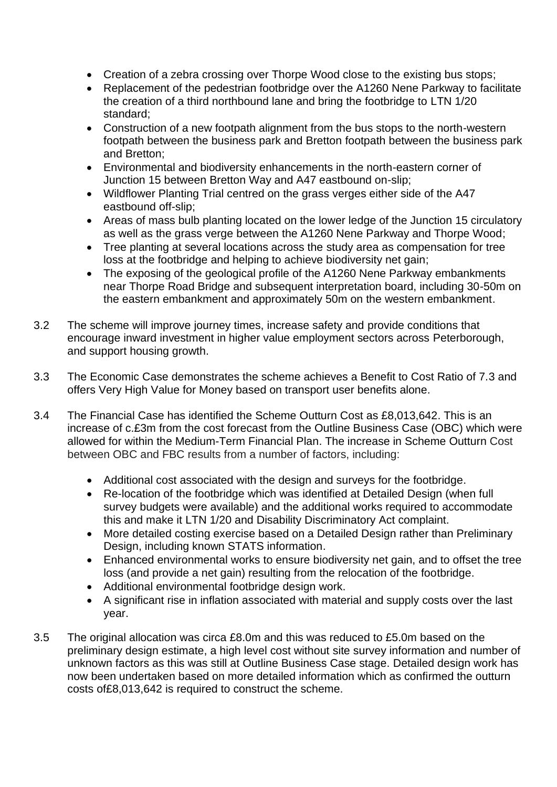- Creation of a zebra crossing over Thorpe Wood close to the existing bus stops;
- Replacement of the pedestrian footbridge over the A1260 Nene Parkway to facilitate the creation of a third northbound lane and bring the footbridge to LTN 1/20 standard;
- Construction of a new footpath alignment from the bus stops to the north-western footpath between the business park and Bretton footpath between the business park and Bretton;
- Environmental and biodiversity enhancements in the north-eastern corner of Junction 15 between Bretton Way and A47 eastbound on-slip;
- Wildflower Planting Trial centred on the grass verges either side of the A47 eastbound off-slip;
- Areas of mass bulb planting located on the lower ledge of the Junction 15 circulatory as well as the grass verge between the A1260 Nene Parkway and Thorpe Wood;
- Tree planting at several locations across the study area as compensation for tree loss at the footbridge and helping to achieve biodiversity net gain;
- The exposing of the geological profile of the A1260 Nene Parkway embankments near Thorpe Road Bridge and subsequent interpretation board, including 30-50m on the eastern embankment and approximately 50m on the western embankment.
- 3.2 The scheme will improve journey times, increase safety and provide conditions that encourage inward investment in higher value employment sectors across Peterborough, and support housing growth.
- 3.3 The Economic Case demonstrates the scheme achieves a Benefit to Cost Ratio of 7.3 and offers Very High Value for Money based on transport user benefits alone.
- 3.4 The Financial Case has identified the Scheme Outturn Cost as £8,013,642. This is an increase of c.£3m from the cost forecast from the Outline Business Case (OBC) which were allowed for within the Medium-Term Financial Plan. The increase in Scheme Outturn Cost between OBC and FBC results from a number of factors, including:
	- Additional cost associated with the design and surveys for the footbridge.
	- Re-location of the footbridge which was identified at Detailed Design (when full survey budgets were available) and the additional works required to accommodate this and make it LTN 1/20 and Disability Discriminatory Act complaint.
	- More detailed costing exercise based on a Detailed Design rather than Preliminary Design, including known STATS information.
	- Enhanced environmental works to ensure biodiversity net gain, and to offset the tree loss (and provide a net gain) resulting from the relocation of the footbridge.
	- Additional environmental footbridge design work.
	- A significant rise in inflation associated with material and supply costs over the last year.
- 3.5 The original allocation was circa £8.0m and this was reduced to £5.0m based on the preliminary design estimate, a high level cost without site survey information and number of unknown factors as this was still at Outline Business Case stage. Detailed design work has now been undertaken based on more detailed information which as confirmed the outturn costs of£8,013,642 is required to construct the scheme.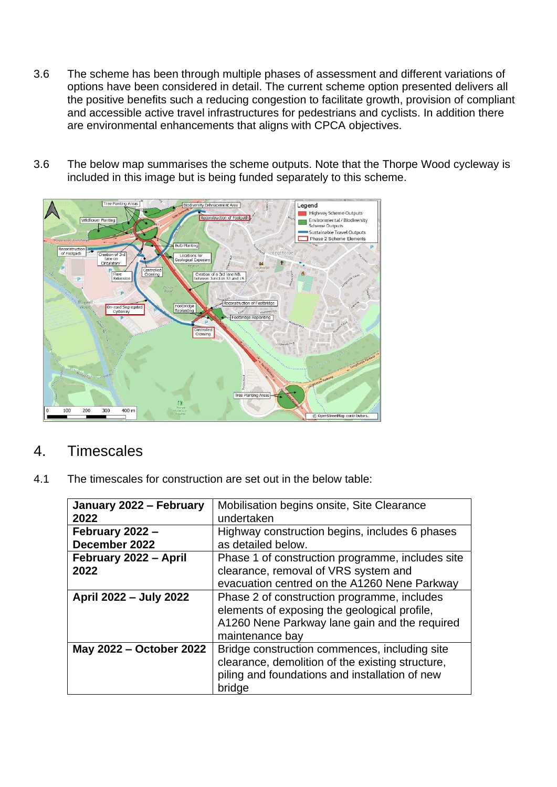- 3.6 The scheme has been through multiple phases of assessment and different variations of options have been considered in detail. The current scheme option presented delivers all the positive benefits such a reducing congestion to facilitate growth, provision of compliant and accessible active travel infrastructures for pedestrians and cyclists. In addition there are environmental enhancements that aligns with CPCA objectives.
- 3.6 The below map summarises the scheme outputs. Note that the Thorpe Wood cycleway is included in this image but is being funded separately to this scheme.



## 4. Timescales

4.1 The timescales for construction are set out in the below table:

| January 2022 - February | Mobilisation begins onsite, Site Clearance       |
|-------------------------|--------------------------------------------------|
| 2022                    | undertaken                                       |
| February 2022 -         | Highway construction begins, includes 6 phases   |
| December 2022           | as detailed below.                               |
| February 2022 - April   | Phase 1 of construction programme, includes site |
| 2022                    | clearance, removal of VRS system and             |
|                         | evacuation centred on the A1260 Nene Parkway     |
| April 2022 - July 2022  | Phase 2 of construction programme, includes      |
|                         | elements of exposing the geological profile,     |
|                         | A1260 Nene Parkway lane gain and the required    |
|                         | maintenance bay                                  |
| May 2022 – October 2022 | Bridge construction commences, including site    |
|                         | clearance, demolition of the existing structure, |
|                         | piling and foundations and installation of new   |
|                         | bridge                                           |